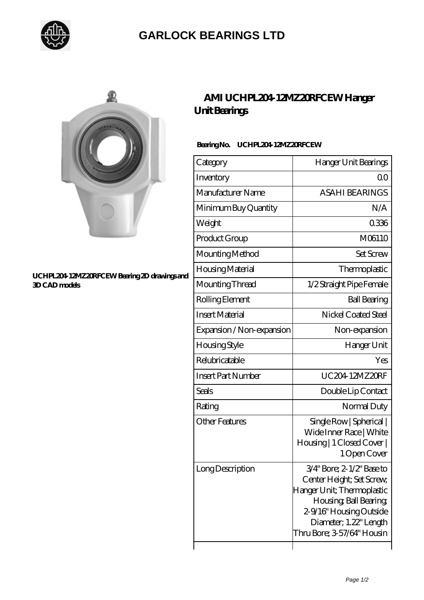

## **[GARLOCK BEARINGS LTD](https://m.letterstopriests.com)**



#### **[UCHPL204-12MZ20RFCEW Bearing 2D drawings and](https://m.letterstopriests.com/pic-189090.html) [3D CAD models](https://m.letterstopriests.com/pic-189090.html)**

### **[AMI UCHPL204-12MZ20RFCEW Hanger](https://m.letterstopriests.com/bs-189090-ami-uchpl204-12mz20rfcew-hanger-unit-bearings.html) [Unit Bearings](https://m.letterstopriests.com/bs-189090-ami-uchpl204-12mz20rfcew-hanger-unit-bearings.html)**

### **Bearing No. UCHPL204-12MZ20RFCEW**

| Category                  | Hanger Unit Bearings                                                                                                                                                                              |
|---------------------------|---------------------------------------------------------------------------------------------------------------------------------------------------------------------------------------------------|
| Inventory                 | Q0                                                                                                                                                                                                |
| Manufacturer Name         | <b>ASAHI BEARINGS</b>                                                                                                                                                                             |
| Minimum Buy Quantity      | N/A                                                                                                                                                                                               |
| Weight                    | 0336                                                                                                                                                                                              |
| Product Group             | M06110                                                                                                                                                                                            |
| Mounting Method           | <b>Set Screw</b>                                                                                                                                                                                  |
| Housing Material          | Thermoplastic                                                                                                                                                                                     |
| Mounting Thread           | 1/2 Straight Pipe Female                                                                                                                                                                          |
| Rolling Element           | <b>Ball Bearing</b>                                                                                                                                                                               |
| <b>Insert Material</b>    | Nickel Coated Steel                                                                                                                                                                               |
| Expansion / Non-expansion | Non-expansion                                                                                                                                                                                     |
| <b>Housing Style</b>      | Hanger Unit                                                                                                                                                                                       |
| Relubricatable            | Yes                                                                                                                                                                                               |
| <b>Insert Part Number</b> | UC204 12MZ20RF                                                                                                                                                                                    |
| Seals                     | Double Lip Contact                                                                                                                                                                                |
| Rating                    | Normal Duty                                                                                                                                                                                       |
| <b>Other Features</b>     | Single Row   Spherical  <br>Wide Inner Race   White<br>Housing   1 Closed Cover  <br>1 Open Cover                                                                                                 |
| Long Description          | 3/4" Bore; 2-1/2" Base to<br>Center Height; Set Screw,<br>Hanger Unit; Thermoplastic<br>Housing, Ball Bearing,<br>2-9/16" Housing Outside<br>Diameter; 1.22" Length<br>Thru Bore; 3-57/64" Housin |